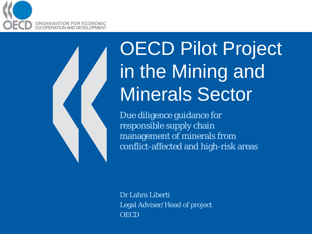

# OECD Pilot Project in the Mining and Minerals Sector

Due diligence guidance for responsible supply chain management of minerals from conflict-affected and high-risk areas

Dr Lahra Liberti Legal Adviser/Head of project **OECD**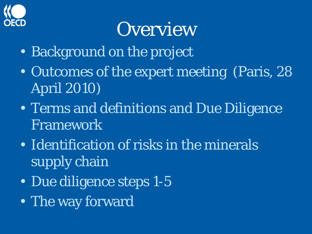

## **Overview**

- Background on the project
- Outcomes of the expert meeting (Paris, 28 April 2010)
- Terms and definitions and Due Diligence Framework
- Identification of risks in the minerals supply chain
- Due diligence steps 1-5
- The way forward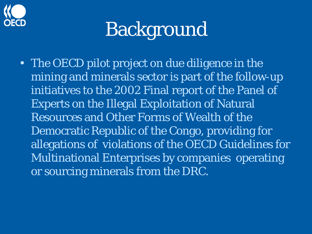

## Background

• The OECD pilot project on due diligence in the mining and minerals sector is part of the follow-up initiatives to the 2002 Final report of the Panel of Experts on the Illegal Exploitation of Natural Resources and Other Forms of Wealth of the Democratic Republic of the Congo, providing for allegations of violations of the OECD Guidelines for Multinational Enterprises by companies operating or sourcing minerals from the DRC.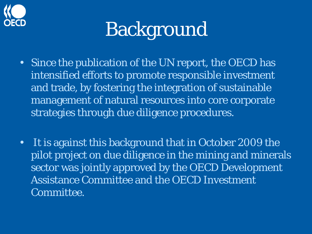

# Background

- Since the publication of the UN report, the OECD has intensified efforts to promote responsible investment and trade, by fostering the integration of sustainable management of natural resources into core corporate strategies through due diligence procedures.
- It is against this background that in October 2009 the pilot project on due diligence in the mining and minerals sector was jointly approved by the OECD Development Assistance Committee and the OECD Investment Committee.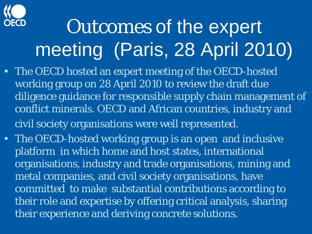

# Outcomes of the expert meeting (Paris, 28 April 2010)

- The OECD hosted an expert meeting of the OECD-hosted working group on 28 April 2010 to review the draft due diligence guidance for responsible supply chain management of conflict minerals. OECD and African countries, industry and civil society organisations were well represented.
- The OECD-hosted working group is an open and inclusive platform in which home and host states, international organisations, industry and trade organisations, mining and metal companies, and civil society organisations, have committed to make substantial contributions according to their role and expertise by offering critical analysis, sharing their experience and deriving concrete solutions.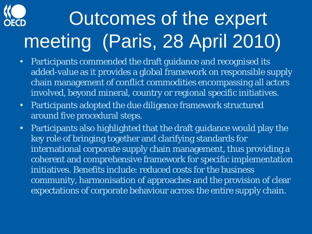# Outcomes of the expert meeting (Paris, 28 April 2010)

- Participants commended the draft guidance and recognised its added-value as it provides a global framework on responsible supply chain management of conflict commodities encompassing all actors involved, beyond mineral, country or regional specific initiatives.
- Participants adopted the due diligence framework structured around five procedural steps.
- Participants also highlighted that the draft guidance would play the key role of bringing together and clarifying standards for international corporate supply chain management, thus providing a coherent and comprehensive framework for specific implementation initiatives. Benefits include: reduced costs for the business community, harmonisation of approaches and the provision of clear expectations of corporate behaviour across the entire supply chain.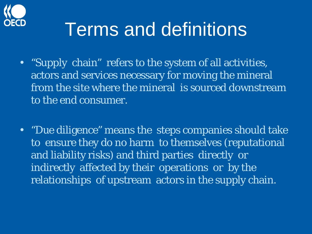

### Terms and definitions

- "Supply chain" refers to the system of all activities, actors and services necessary for moving the mineral from the site where the mineral is sourced downstream to the end consumer.
- "Due diligence" means the steps companies should take to ensure they do no harm to themselves (reputational and liability risks) and third parties directly or indirectly affected by their operations or by the relationships of upstream actors in the supply chain.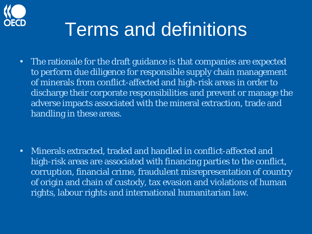

### Terms and definitions

• The rationale for the draft guidance is that companies are expected to perform due diligence for responsible supply chain management of minerals from conflict-affected and high-risk areas in order to discharge their corporate responsibilities and prevent or manage the adverse impacts associated with the mineral extraction, trade and handling in these areas.

• Minerals extracted, traded and handled in conflict-affected and high-risk areas are associated with financing parties to the conflict, corruption, financial crime, fraudulent misrepresentation of country of origin and chain of custody, tax evasion and violations of human rights, labour rights and international humanitarian law.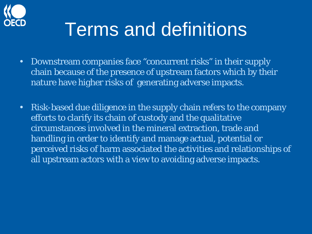

### Terms and definitions

- Downstream companies face "concurrent risks" in their supply chain because of the presence of upstream factors which by their nature have higher risks of generating adverse impacts.
- Risk-based due diligence in the supply chain refers to the company efforts to clarify its chain of custody and the qualitative circumstances involved in the mineral extraction, trade and handling in order to identify and manage actual, potential or perceived risks of harm associated the activities and relationships of all upstream actors with a view to avoiding adverse impacts.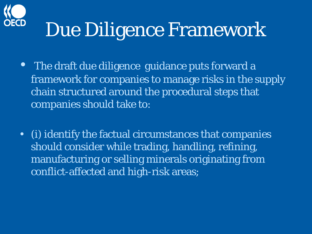

# Due Diligence Framework

- The draft due diligence guidance puts forward a framework for companies to manage risks in the supply chain structured around the procedural steps that companies should take to:
- (i) identify the factual circumstances that companies should consider while trading, handling, refining, manufacturing or selling minerals originating from conflict-affected and high-risk areas;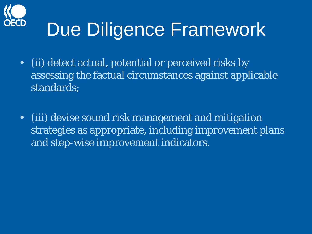

# Due Diligence Framework

- (ii) detect actual, potential or perceived risks by assessing the factual circumstances against applicable standards;
- (iii) devise sound risk management and mitigation strategies as appropriate, including improvement plans and step-wise improvement indicators.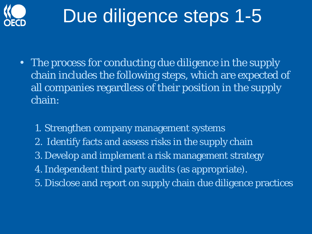

# Due diligence steps 1-5

- The process for conducting due diligence in the supply chain includes the following steps, which are expected of all companies regardless of their position in the supply chain:
	- 1. Strengthen company management systems
	- 2. Identify facts and assess risks in the supply chain
	- 3. Develop and implement a risk management strategy
	- 4.Independent third party audits (as appropriate).
	- 5. Disclose and report on supply chain due diligence practices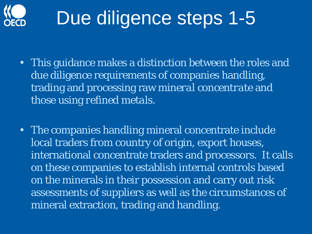

# Due diligence steps 1-5

- This guidance makes a distinction between the roles and due diligence requirements of companies handling, trading and processing raw *mineral concentrate* and those using *refined metals*.
- The companies handling mineral concentrate include local traders from country of origin, export houses, international concentrate traders and processors. It calls on these companies to establish internal controls based on the minerals in their possession and carry out risk assessments of suppliers as well as the circumstances of mineral extraction, trading and handling.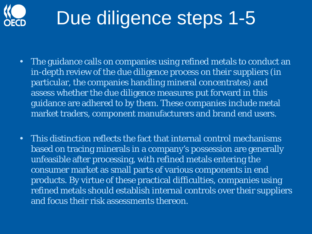

# Due diligence steps 1-5

- The guidance calls on companies using refined metals to conduct an in-depth review of the due diligence process on their suppliers (in particular, the companies handling mineral concentrates) and assess whether the due diligence measures put forward in this guidance are adhered to by them. These companies include metal market traders, component manufacturers and brand end users.
- This distinction reflects the fact that internal control mechanisms based on tracing minerals in a company's possession are generally unfeasible after processing, with refined metals entering the consumer market as small parts of various components in end products. By virtue of these practical difficulties, companies using refined metals should establish internal controls over their suppliers and focus their risk assessments thereon.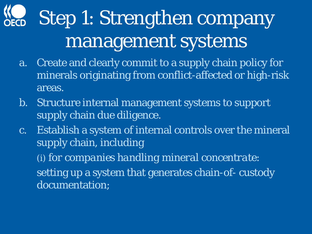# Step 1: Strengthen company management systems

- a. Create and clearly commit to a supply chain policy for minerals originating from conflict-affected or high-risk areas.
- b. Structure internal management systems to support supply chain due diligence.
- c. Establish a system of internal controls over the mineral supply chain, including (i) *for companies handling mineral concentrate*: setting up a system that generates chain-of- custody documentation;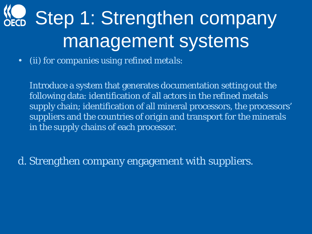# KC Step 1: Strengthen company management systems

• *(ii) for companies using refined metals:*

Introduce a system that generates documentation setting out the following data: identification of all actors in the refined metals supply chain; identification of all mineral processors, the processors' suppliers and the countries of origin and transport for the minerals in the supply chains of each processor.

d. Strengthen company engagement with suppliers.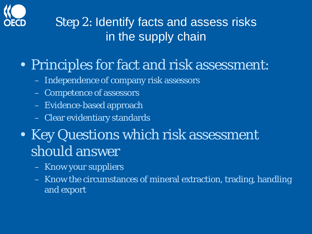

#### Step 2: Identify facts and assess risks in the supply chain

#### • Principles for fact and risk assessment:

- Independence of company risk assessors
- Competence of assessors
- Evidence-based approach
- Clear evidentiary standards
- Key Questions which risk assessment should answer
	- Know your suppliers
	- Know the circumstances of mineral extraction, trading, handling and export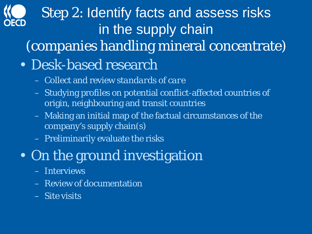### Step 2: Identify facts and assess risks in the supply chain (companies handling mineral concentrate) • Desk-based research

- Collect and review *standards of care*
- Studying profiles on potential conflict-affected countries of origin, neighbouring and transit countries
- Making an initial map of the factual circumstances of the company's supply chain(s)
- Preliminarily evaluate the risks

### • On the ground investigation

- Interviews
- Review of documentation
- Site visits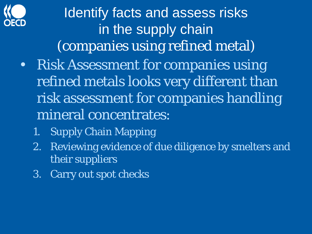

Identify facts and assess risks in the supply chain (companies using refined metal) • Risk Assessment for companies using

- refined metals looks very different than risk assessment for companies handling mineral concentrates:
	- 1. Supply Chain Mapping
	- 2. Reviewing evidence of due diligence by smelters and their suppliers
	- 3. Carry out spot checks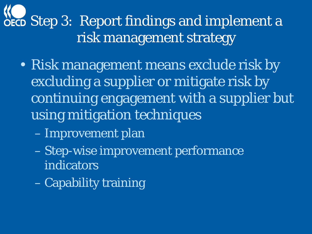### **NOECD** Step 3: Report findings and implement a risk management strategy

- Risk management means exclude risk by excluding a supplier or mitigate risk by continuing engagement with a supplier but using mitigation techniques
	- Improvement plan
	- Step-wise improvement performance indicators
	- Capability training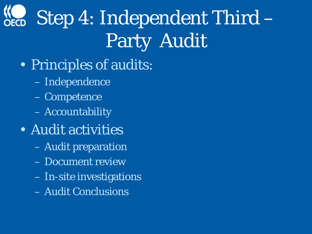# Step 4: Independent Third – Party Audit

- Principles of audits:
	- Independence
	- Competence
	- Accountability
- Audit activities
	- Audit preparation
	- Document review
	- In-site investigations
	- Audit Conclusions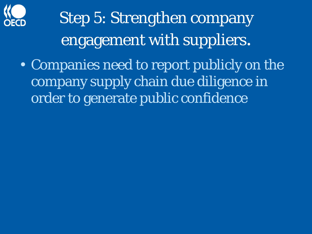

## Step 5: Strengthen company engagement with suppliers.

• Companies need to report publicly on the company supply chain due diligence in order to generate public confidence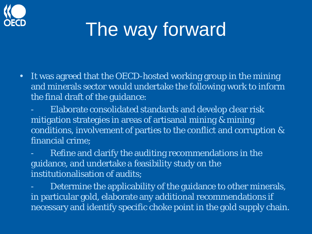

# The way forward

- It was agreed that the OECD-hosted working group in the mining and minerals sector would undertake the following work to inform the final draft of the guidance:
	- Elaborate consolidated standards and develop clear risk mitigation strategies in areas of artisanal mining & mining conditions, involvement of parties to the conflict and corruption & financial crime;
	- Refine and clarify the auditing recommendations in the guidance, and undertake a feasibility study on the institutionalisation of audits;
	- Determine the applicability of the guidance to other minerals, in particular gold, elaborate any additional recommendations if necessary and identify specific choke point in the gold supply chain.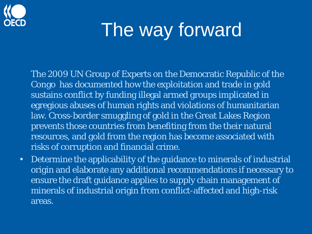

## The way forward

The 2009 UN Group of Experts on the Democratic Republic of the Congo has documented how the exploitation and trade in gold sustains conflict by funding illegal armed groups implicated in egregious abuses of human rights and violations of humanitarian law. Cross-border smuggling of gold in the Great Lakes Region prevents those countries from benefiting from the their natural resources, and gold from the region has become associated with risks of corruption and financial crime.

• Determine the applicability of the guidance to minerals of industrial origin and elaborate any additional recommendations if necessary to ensure the draft guidance applies to supply chain management of minerals of industrial origin from conflict-affected and high-risk areas.